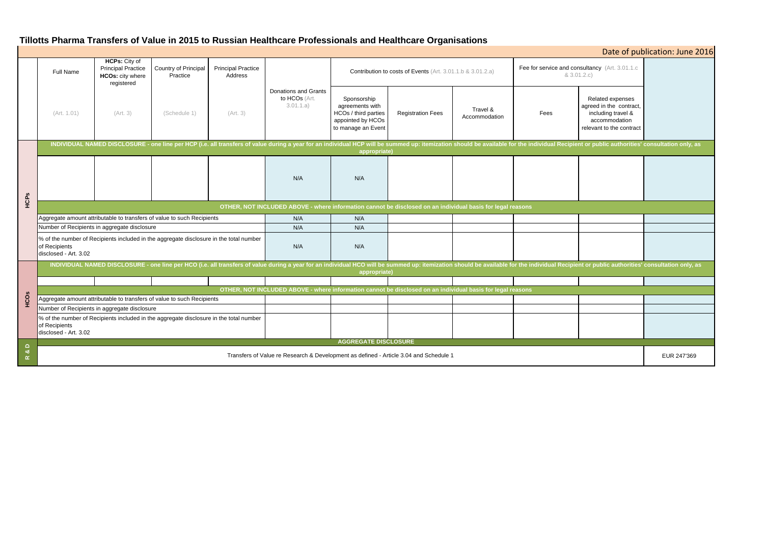# **Tillotts Pharma Transfers of Value in 2015 to Russian Healthcare Professionals and Healthcare Organisations**

| Date of publication: June 2016 |                                                                                                                                                                                                                                                |                                                                                     |                                                                                        |                                      |                                                           |                                                                                                   |                          |                           |                                                               |                                                                                                                |             |
|--------------------------------|------------------------------------------------------------------------------------------------------------------------------------------------------------------------------------------------------------------------------------------------|-------------------------------------------------------------------------------------|----------------------------------------------------------------------------------------|--------------------------------------|-----------------------------------------------------------|---------------------------------------------------------------------------------------------------|--------------------------|---------------------------|---------------------------------------------------------------|----------------------------------------------------------------------------------------------------------------|-------------|
|                                | <b>Full Name</b>                                                                                                                                                                                                                               | <b>HCPs: City of</b><br><b>Principal Practice</b><br>HCOs: city where<br>registered | Country of Principal<br>Practice                                                       | <b>Principal Practice</b><br>Address |                                                           | Contribution to costs of Events (Art. 3.01.1.b & 3.01.2.a)                                        |                          |                           | Fee for service and consultancy (Art. 3.01.1.c<br>& 3.01.2.c) |                                                                                                                |             |
|                                | (Art. 1.01)                                                                                                                                                                                                                                    | (Art. 3)                                                                            | (Schedule 1)                                                                           | (Art. 3)                             | <b>Donations and Grants</b><br>to HCOs (Art.<br>3.01.1.a) | Sponsorship<br>agreements with<br>HCOs / third parties<br>appointed by HCOs<br>to manage an Event | <b>Registration Fees</b> | Travel &<br>Accommodation | Fees                                                          | Related expenses<br>agreed in the contract,<br>including travel &<br>accommodation<br>relevant to the contract |             |
| HCPS                           | INDIVIDUAL NAMED DISCLOSURE - one line per HCP (i.e. all transfers of value during a year for an individual HCP will be summed up: itemization should be available for the individual Recipient or public authorities' consult<br>appropriate) |                                                                                     |                                                                                        |                                      |                                                           |                                                                                                   |                          |                           |                                                               |                                                                                                                |             |
|                                |                                                                                                                                                                                                                                                |                                                                                     |                                                                                        |                                      | N/A                                                       | N/A                                                                                               |                          |                           |                                                               |                                                                                                                |             |
|                                | OTHER, NOT INCLUDED ABOVE - where information cannot be disclosed on an individual basis for legal reasons                                                                                                                                     |                                                                                     |                                                                                        |                                      |                                                           |                                                                                                   |                          |                           |                                                               |                                                                                                                |             |
|                                | Aggregate amount attributable to transfers of value to such Recipients                                                                                                                                                                         |                                                                                     |                                                                                        |                                      | N/A                                                       | N/A                                                                                               |                          |                           |                                                               |                                                                                                                |             |
|                                | Number of Recipients in aggregate disclosure                                                                                                                                                                                                   |                                                                                     |                                                                                        |                                      | N/A                                                       | N/A                                                                                               |                          |                           |                                                               |                                                                                                                |             |
|                                | % of the number of Recipients included in the aggregate disclosure in the total number<br>of Recipients<br>disclosed - Art. 3.02                                                                                                               |                                                                                     |                                                                                        |                                      | N/A                                                       | N/A                                                                                               |                          |                           |                                                               |                                                                                                                |             |
| <b>HCOS</b>                    | INDIVIDUAL NAMED DISCLOSURE - one line per HCO (i.e. all transfers of value during a year for an individual HCO will be summed up: itemization should be available for the individual Recipient or public authorities' consult<br>appropriate) |                                                                                     |                                                                                        |                                      |                                                           |                                                                                                   |                          |                           |                                                               |                                                                                                                |             |
|                                |                                                                                                                                                                                                                                                |                                                                                     |                                                                                        |                                      |                                                           |                                                                                                   |                          |                           |                                                               |                                                                                                                |             |
|                                | OTHER, NOT INCLUDED ABOVE - where information cannot be disclosed on an individual basis for legal reasons<br>Aggregate amount attributable to transfers of value to such Recipients                                                           |                                                                                     |                                                                                        |                                      |                                                           |                                                                                                   |                          |                           |                                                               |                                                                                                                |             |
|                                | Number of Recipients in aggregate disclosure                                                                                                                                                                                                   |                                                                                     |                                                                                        |                                      |                                                           |                                                                                                   |                          |                           |                                                               |                                                                                                                |             |
|                                | of Recipients<br>disclosed - Art. 3.02                                                                                                                                                                                                         |                                                                                     | % of the number of Recipients included in the aggregate disclosure in the total number |                                      |                                                           |                                                                                                   |                          |                           |                                                               |                                                                                                                |             |
| $\Omega$                       | <b>AGGREGATE DISCLOSURE</b>                                                                                                                                                                                                                    |                                                                                     |                                                                                        |                                      |                                                           |                                                                                                   |                          |                           |                                                               |                                                                                                                |             |
| ಂಶ<br>$\alpha$                 | Transfers of Value re Research & Development as defined - Article 3.04 and Schedule 1                                                                                                                                                          |                                                                                     |                                                                                        |                                      |                                                           |                                                                                                   |                          |                           |                                                               |                                                                                                                | EUR 247'369 |